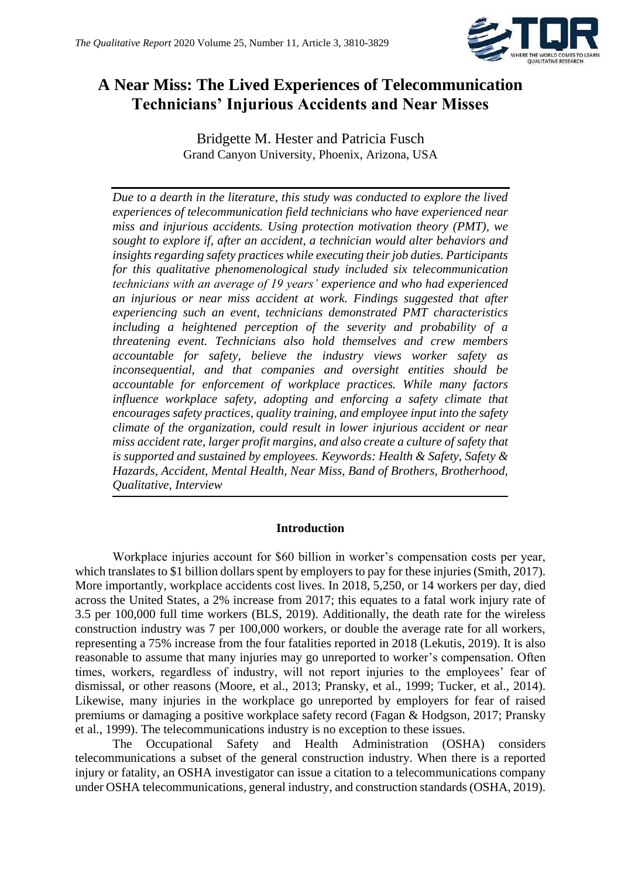

# **A Near Miss: The Lived Experiences of Telecommunication Technicians' Injurious Accidents and Near Misses**

Bridgette M. Hester and Patricia Fusch Grand Canyon University, Phoenix, Arizona, USA

*Due to a dearth in the literature, this study was conducted to explore the lived experiences of telecommunication field technicians who have experienced near miss and injurious accidents. Using protection motivation theory (PMT), we sought to explore if, after an accident, a technician would alter behaviors and insights regarding safety practices while executing their job duties. Participants for this qualitative phenomenological study included six telecommunication technicians with an average of 19 years' experience and who had experienced an injurious or near miss accident at work. Findings suggested that after experiencing such an event, technicians demonstrated PMT characteristics including a heightened perception of the severity and probability of a threatening event. Technicians also hold themselves and crew members accountable for safety, believe the industry views worker safety as inconsequential, and that companies and oversight entities should be accountable for enforcement of workplace practices. While many factors influence workplace safety, adopting and enforcing a safety climate that encourages safety practices, quality training, and employee input into the safety climate of the organization, could result in lower injurious accident or near miss accident rate, larger profit margins, and also create a culture of safety that is supported and sustained by employees. Keywords: Health & Safety, Safety & Hazards, Accident, Mental Health, Near Miss, Band of Brothers, Brotherhood, Qualitative, Interview*

# **Introduction**

Workplace injuries account for \$60 billion in worker's compensation costs per year, which translates to \$1 billion dollars spent by employers to pay for these injuries (Smith, 2017). More importantly, workplace accidents cost lives. In 2018, 5,250, or 14 workers per day, died across the United States, a 2% increase from 2017; this equates to a fatal work injury rate of 3.5 per 100,000 full time workers (BLS, 2019). Additionally, the death rate for the wireless construction industry was 7 per 100,000 workers, or double the average rate for all workers, representing a 75% increase from the four fatalities reported in 2018 (Lekutis, 2019). It is also reasonable to assume that many injuries may go unreported to worker's compensation. Often times, workers, regardless of industry, will not report injuries to the employees' fear of dismissal, or other reasons (Moore, et al., 2013; Pransky, et al., 1999; Tucker, et al., 2014). Likewise, many injuries in the workplace go unreported by employers for fear of raised premiums or damaging a positive workplace safety record (Fagan & Hodgson, 2017; Pransky et al., 1999). The telecommunications industry is no exception to these issues.

The Occupational Safety and Health Administration (OSHA) considers telecommunications a subset of the general construction industry. When there is a reported injury or fatality, an OSHA investigator can issue a citation to a telecommunications company under OSHA telecommunications, general industry, and construction standards (OSHA, 2019).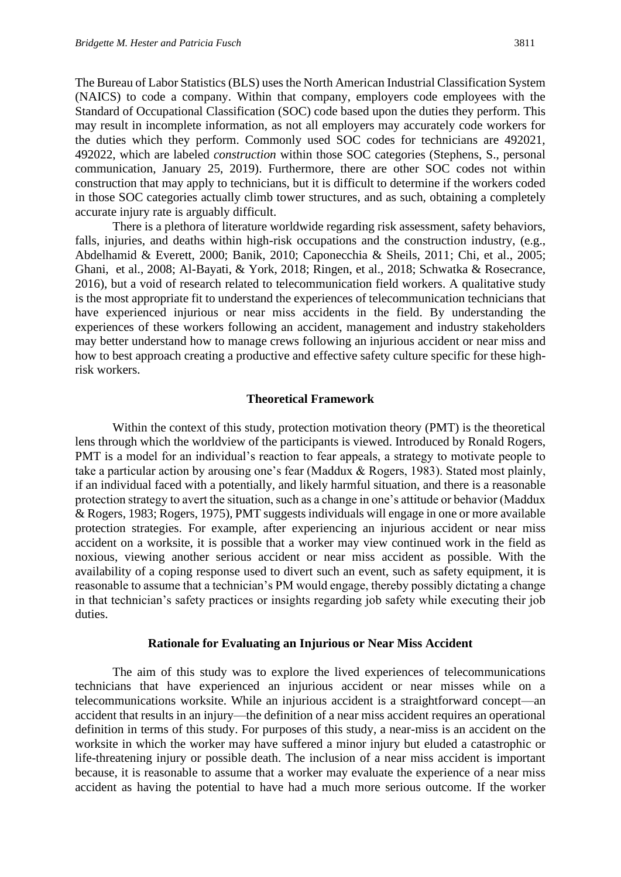The Bureau of Labor Statistics (BLS) uses the North American Industrial Classification System (NAICS) to code a company. Within that company, employers code employees with the Standard of Occupational Classification (SOC) code based upon the duties they perform. This may result in incomplete information, as not all employers may accurately code workers for the duties which they perform. Commonly used SOC codes for technicians are 492021, 492022, which are labeled *construction* within those SOC categories (Stephens, S., personal communication, January 25, 2019). Furthermore, there are other SOC codes not within construction that may apply to technicians, but it is difficult to determine if the workers coded in those SOC categories actually climb tower structures, and as such, obtaining a completely accurate injury rate is arguably difficult.

There is a plethora of literature worldwide regarding risk assessment, safety behaviors, falls, injuries, and deaths within high-risk occupations and the construction industry, (e.g., Abdelhamid & Everett, 2000; Banik, 2010; Caponecchia & Sheils, 2011; Chi, et al., 2005; Ghani, et al., 2008; Al-Bayati, & York, 2018; Ringen, et al., 2018; Schwatka & Rosecrance, 2016), but a void of research related to telecommunication field workers. A qualitative study is the most appropriate fit to understand the experiences of telecommunication technicians that have experienced injurious or near miss accidents in the field. By understanding the experiences of these workers following an accident, management and industry stakeholders may better understand how to manage crews following an injurious accident or near miss and how to best approach creating a productive and effective safety culture specific for these highrisk workers.

## **Theoretical Framework**

Within the context of this study, protection motivation theory (PMT) is the theoretical lens through which the worldview of the participants is viewed. Introduced by Ronald Rogers, PMT is a model for an individual's reaction to fear appeals, a strategy to motivate people to take a particular action by arousing one's fear (Maddux & Rogers, 1983). Stated most plainly, if an individual faced with a potentially, and likely harmful situation, and there is a reasonable protection strategy to avert the situation, such as a change in one's attitude or behavior (Maddux & Rogers, 1983; Rogers, 1975), PMT suggests individuals will engage in one or more available protection strategies. For example, after experiencing an injurious accident or near miss accident on a worksite, it is possible that a worker may view continued work in the field as noxious, viewing another serious accident or near miss accident as possible. With the availability of a coping response used to divert such an event, such as safety equipment, it is reasonable to assume that a technician's PM would engage, thereby possibly dictating a change in that technician's safety practices or insights regarding job safety while executing their job duties.

#### **Rationale for Evaluating an Injurious or Near Miss Accident**

The aim of this study was to explore the lived experiences of telecommunications technicians that have experienced an injurious accident or near misses while on a telecommunications worksite. While an injurious accident is a straightforward concept—an accident that results in an injury—the definition of a near miss accident requires an operational definition in terms of this study. For purposes of this study, a near-miss is an accident on the worksite in which the worker may have suffered a minor injury but eluded a catastrophic or life-threatening injury or possible death. The inclusion of a near miss accident is important because, it is reasonable to assume that a worker may evaluate the experience of a near miss accident as having the potential to have had a much more serious outcome. If the worker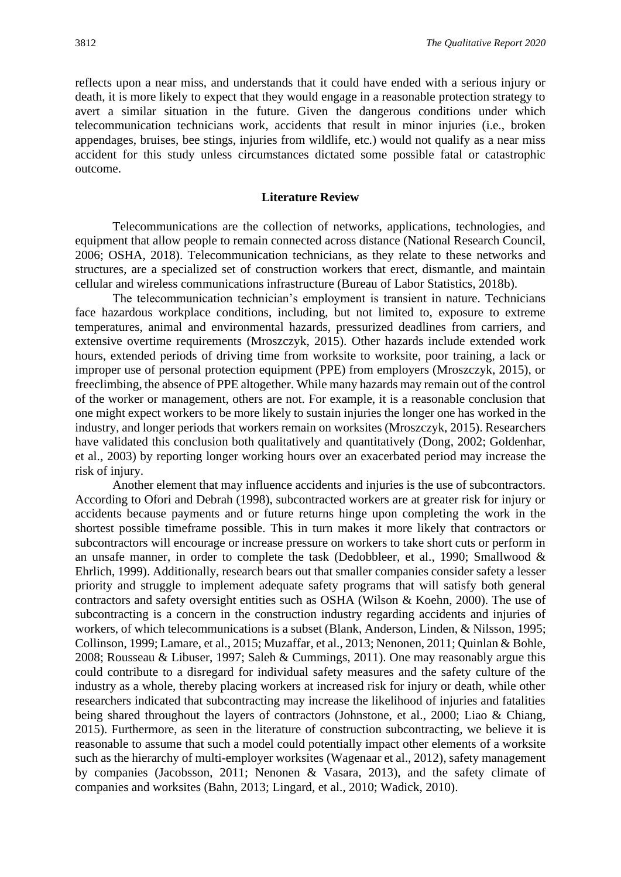reflects upon a near miss, and understands that it could have ended with a serious injury or death, it is more likely to expect that they would engage in a reasonable protection strategy to avert a similar situation in the future. Given the dangerous conditions under which telecommunication technicians work, accidents that result in minor injuries (i.e., broken appendages, bruises, bee stings, injuries from wildlife, etc.) would not qualify as a near miss accident for this study unless circumstances dictated some possible fatal or catastrophic outcome.

#### **Literature Review**

Telecommunications are the collection of networks, applications, technologies, and equipment that allow people to remain connected across distance (National Research Council, 2006; OSHA, 2018). Telecommunication technicians, as they relate to these networks and structures, are a specialized set of construction workers that erect, dismantle, and maintain cellular and wireless communications infrastructure (Bureau of Labor Statistics, 2018b).

The telecommunication technician's employment is transient in nature. Technicians face hazardous workplace conditions, including, but not limited to, exposure to extreme temperatures, animal and environmental hazards, pressurized deadlines from carriers, and extensive overtime requirements (Mroszczyk, 2015). Other hazards include extended work hours, extended periods of driving time from worksite to worksite, poor training, a lack or improper use of personal protection equipment (PPE) from employers (Mroszczyk, 2015), or freeclimbing, the absence of PPE altogether. While many hazards may remain out of the control of the worker or management, others are not. For example, it is a reasonable conclusion that one might expect workers to be more likely to sustain injuries the longer one has worked in the industry, and longer periods that workers remain on worksites (Mroszczyk, 2015). Researchers have validated this conclusion both qualitatively and quantitatively (Dong, 2002; Goldenhar, et al., 2003) by reporting longer working hours over an exacerbated period may increase the risk of injury.

Another element that may influence accidents and injuries is the use of subcontractors. According to Ofori and Debrah (1998), subcontracted workers are at greater risk for injury or accidents because payments and or future returns hinge upon completing the work in the shortest possible timeframe possible. This in turn makes it more likely that contractors or subcontractors will encourage or increase pressure on workers to take short cuts or perform in an unsafe manner, in order to complete the task (Dedobbleer, et al., 1990; Smallwood & Ehrlich, 1999). Additionally, research bears out that smaller companies consider safety a lesser priority and struggle to implement adequate safety programs that will satisfy both general contractors and safety oversight entities such as OSHA (Wilson & Koehn, 2000). The use of subcontracting is a concern in the construction industry regarding accidents and injuries of workers, of which telecommunications is a subset (Blank, Anderson, Linden, & Nilsson, 1995; Collinson, 1999; Lamare, et al., 2015; Muzaffar, et al., 2013; Nenonen, 2011; Quinlan & Bohle, 2008; Rousseau & Libuser, 1997; Saleh & Cummings, 2011). One may reasonably argue this could contribute to a disregard for individual safety measures and the safety culture of the industry as a whole, thereby placing workers at increased risk for injury or death, while other researchers indicated that subcontracting may increase the likelihood of injuries and fatalities being shared throughout the layers of contractors (Johnstone, et al., 2000; Liao & Chiang, 2015). Furthermore, as seen in the literature of construction subcontracting, we believe it is reasonable to assume that such a model could potentially impact other elements of a worksite such as the hierarchy of multi-employer worksites (Wagenaar et al., 2012), safety management by companies (Jacobsson, 2011; Nenonen & Vasara, 2013), and the safety climate of companies and worksites (Bahn, 2013; Lingard, et al., 2010; Wadick, 2010).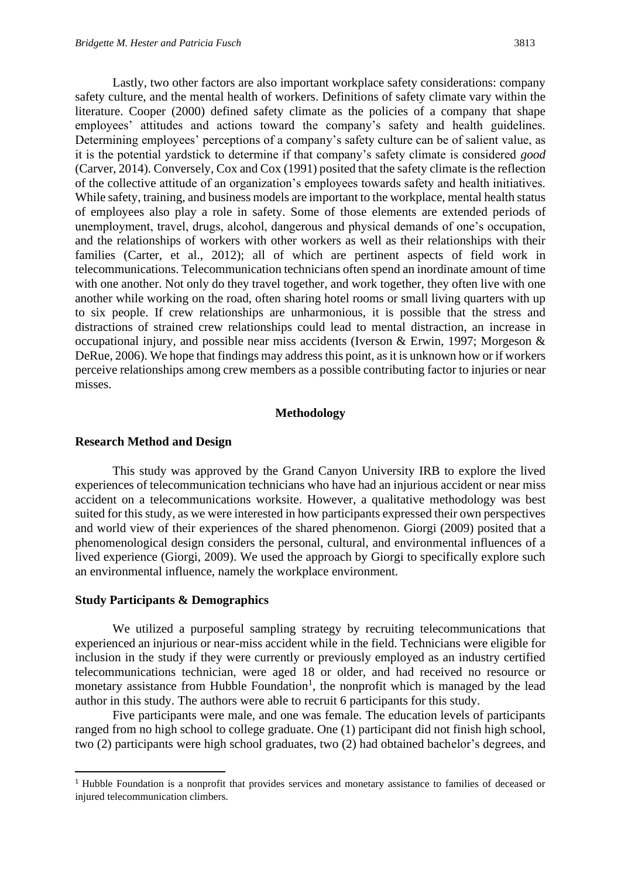Lastly, two other factors are also important workplace safety considerations: company safety culture, and the mental health of workers. Definitions of safety climate vary within the literature. Cooper (2000) defined safety climate as the policies of a company that shape employees' attitudes and actions toward the company's safety and health guidelines. Determining employees' perceptions of a company's safety culture can be of salient value, as it is the potential yardstick to determine if that company's safety climate is considered *good*  (Carver, 2014). Conversely, Cox and Cox (1991) posited that the safety climate is the reflection of the collective attitude of an organization's employees towards safety and health initiatives. While safety, training, and business models are important to the workplace, mental health status of employees also play a role in safety. Some of those elements are extended periods of unemployment, travel, drugs, alcohol, dangerous and physical demands of one's occupation, and the relationships of workers with other workers as well as their relationships with their families (Carter, et al., 2012); all of which are pertinent aspects of field work in telecommunications. Telecommunication technicians often spend an inordinate amount of time with one another. Not only do they travel together, and work together, they often live with one another while working on the road, often sharing hotel rooms or small living quarters with up to six people. If crew relationships are unharmonious, it is possible that the stress and distractions of strained crew relationships could lead to mental distraction, an increase in occupational injury, and possible near miss accidents (Iverson & Erwin, 1997; Morgeson & DeRue, 2006). We hope that findings may address this point, as it is unknown how or if workers perceive relationships among crew members as a possible contributing factor to injuries or near misses.

#### **Methodology**

#### **Research Method and Design**

This study was approved by the Grand Canyon University IRB to explore the lived experiences of telecommunication technicians who have had an injurious accident or near miss accident on a telecommunications worksite. However, a qualitative methodology was best suited for this study, as we were interested in how participants expressed their own perspectives and world view of their experiences of the shared phenomenon. Giorgi (2009) posited that a phenomenological design considers the personal, cultural, and environmental influences of a lived experience (Giorgi, 2009). We used the approach by Giorgi to specifically explore such an environmental influence, namely the workplace environment.

#### **Study Participants & Demographics**

We utilized a purposeful sampling strategy by recruiting telecommunications that experienced an injurious or near-miss accident while in the field. Technicians were eligible for inclusion in the study if they were currently or previously employed as an industry certified telecommunications technician, were aged 18 or older, and had received no resource or monetary assistance from Hubble Foundation<sup>1</sup>, the nonprofit which is managed by the lead author in this study. The authors were able to recruit 6 participants for this study.

Five participants were male, and one was female. The education levels of participants ranged from no high school to college graduate. One (1) participant did not finish high school, two (2) participants were high school graduates, two (2) had obtained bachelor's degrees, and

<sup>&</sup>lt;sup>1</sup> Hubble Foundation is a nonprofit that provides services and monetary assistance to families of deceased or injured telecommunication climbers.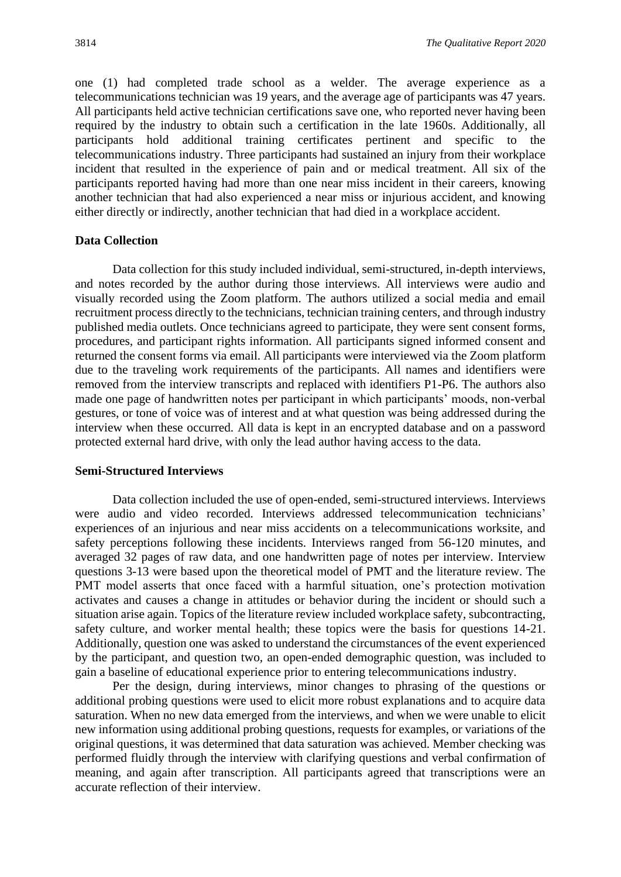one (1) had completed trade school as a welder. The average experience as a telecommunications technician was 19 years, and the average age of participants was 47 years. All participants held active technician certifications save one, who reported never having been required by the industry to obtain such a certification in the late 1960s. Additionally, all participants hold additional training certificates pertinent and specific to the telecommunications industry. Three participants had sustained an injury from their workplace incident that resulted in the experience of pain and or medical treatment. All six of the participants reported having had more than one near miss incident in their careers, knowing another technician that had also experienced a near miss or injurious accident, and knowing either directly or indirectly, another technician that had died in a workplace accident.

## **Data Collection**

Data collection for this study included individual, semi-structured, in-depth interviews, and notes recorded by the author during those interviews. All interviews were audio and visually recorded using the Zoom platform. The authors utilized a social media and email recruitment process directly to the technicians, technician training centers, and through industry published media outlets. Once technicians agreed to participate, they were sent consent forms, procedures, and participant rights information. All participants signed informed consent and returned the consent forms via email. All participants were interviewed via the Zoom platform due to the traveling work requirements of the participants. All names and identifiers were removed from the interview transcripts and replaced with identifiers P1-P6. The authors also made one page of handwritten notes per participant in which participants' moods, non-verbal gestures, or tone of voice was of interest and at what question was being addressed during the interview when these occurred. All data is kept in an encrypted database and on a password protected external hard drive, with only the lead author having access to the data.

#### **Semi-Structured Interviews**

Data collection included the use of open-ended, semi-structured interviews. Interviews were audio and video recorded. Interviews addressed telecommunication technicians' experiences of an injurious and near miss accidents on a telecommunications worksite, and safety perceptions following these incidents. Interviews ranged from 56-120 minutes, and averaged 32 pages of raw data, and one handwritten page of notes per interview. Interview questions 3-13 were based upon the theoretical model of PMT and the literature review. The PMT model asserts that once faced with a harmful situation, one's protection motivation activates and causes a change in attitudes or behavior during the incident or should such a situation arise again. Topics of the literature review included workplace safety, subcontracting, safety culture, and worker mental health; these topics were the basis for questions 14-21. Additionally, question one was asked to understand the circumstances of the event experienced by the participant, and question two, an open-ended demographic question, was included to gain a baseline of educational experience prior to entering telecommunications industry.

Per the design, during interviews, minor changes to phrasing of the questions or additional probing questions were used to elicit more robust explanations and to acquire data saturation. When no new data emerged from the interviews, and when we were unable to elicit new information using additional probing questions, requests for examples, or variations of the original questions, it was determined that data saturation was achieved. Member checking was performed fluidly through the interview with clarifying questions and verbal confirmation of meaning, and again after transcription. All participants agreed that transcriptions were an accurate reflection of their interview.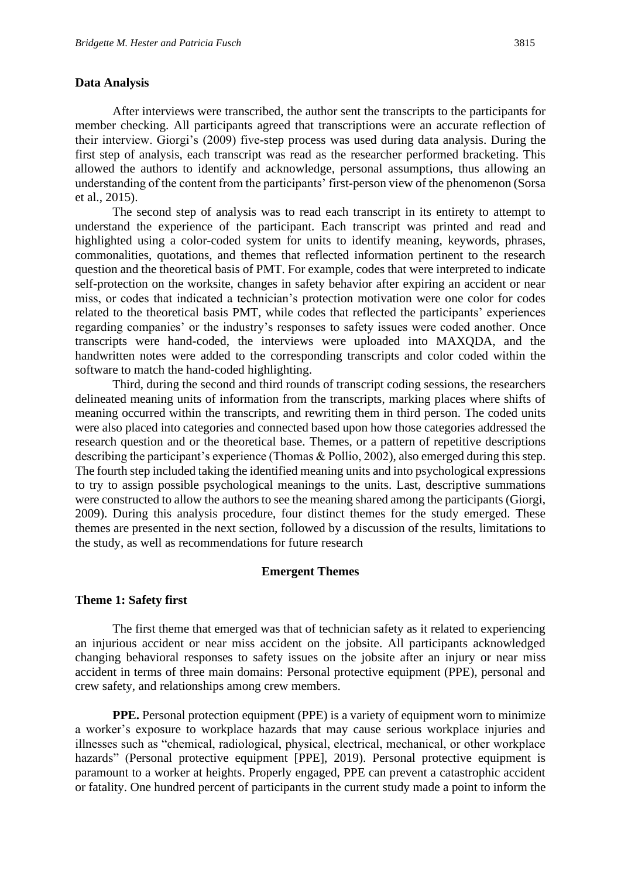## **Data Analysis**

After interviews were transcribed, the author sent the transcripts to the participants for member checking. All participants agreed that transcriptions were an accurate reflection of their interview. Giorgi's (2009) five-step process was used during data analysis. During the first step of analysis, each transcript was read as the researcher performed bracketing. This allowed the authors to identify and acknowledge, personal assumptions, thus allowing an understanding of the content from the participants' first-person view of the phenomenon (Sorsa et al., 2015).

The second step of analysis was to read each transcript in its entirety to attempt to understand the experience of the participant. Each transcript was printed and read and highlighted using a color-coded system for units to identify meaning, keywords, phrases, commonalities, quotations, and themes that reflected information pertinent to the research question and the theoretical basis of PMT. For example, codes that were interpreted to indicate self-protection on the worksite, changes in safety behavior after expiring an accident or near miss, or codes that indicated a technician's protection motivation were one color for codes related to the theoretical basis PMT, while codes that reflected the participants' experiences regarding companies' or the industry's responses to safety issues were coded another. Once transcripts were hand-coded, the interviews were uploaded into MAXQDA, and the handwritten notes were added to the corresponding transcripts and color coded within the software to match the hand-coded highlighting.

Third, during the second and third rounds of transcript coding sessions, the researchers delineated meaning units of information from the transcripts, marking places where shifts of meaning occurred within the transcripts, and rewriting them in third person. The coded units were also placed into categories and connected based upon how those categories addressed the research question and or the theoretical base. Themes, or a pattern of repetitive descriptions describing the participant's experience (Thomas & Pollio, 2002), also emerged during this step. The fourth step included taking the identified meaning units and into psychological expressions to try to assign possible psychological meanings to the units. Last, descriptive summations were constructed to allow the authors to see the meaning shared among the participants (Giorgi, 2009). During this analysis procedure, four distinct themes for the study emerged. These themes are presented in the next section, followed by a discussion of the results, limitations to the study, as well as recommendations for future research

## **Emergent Themes**

## **Theme 1: Safety first**

The first theme that emerged was that of technician safety as it related to experiencing an injurious accident or near miss accident on the jobsite. All participants acknowledged changing behavioral responses to safety issues on the jobsite after an injury or near miss accident in terms of three main domains: Personal protective equipment (PPE), personal and crew safety, and relationships among crew members.

**PPE.** Personal protection equipment (PPE) is a variety of equipment worn to minimize a worker's exposure to workplace hazards that may cause serious workplace injuries and illnesses such as "chemical, radiological, physical, electrical, mechanical, or other workplace hazards" (Personal protective equipment [PPE], 2019). Personal protective equipment is paramount to a worker at heights. Properly engaged, PPE can prevent a catastrophic accident or fatality. One hundred percent of participants in the current study made a point to inform the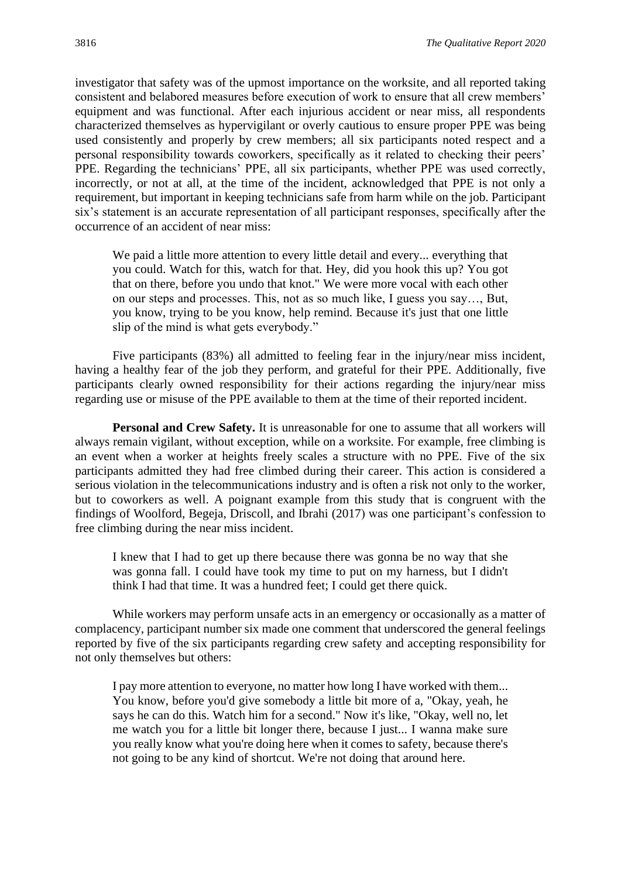investigator that safety was of the upmost importance on the worksite, and all reported taking consistent and belabored measures before execution of work to ensure that all crew members' equipment and was functional. After each injurious accident or near miss, all respondents characterized themselves as hypervigilant or overly cautious to ensure proper PPE was being used consistently and properly by crew members; all six participants noted respect and a personal responsibility towards coworkers, specifically as it related to checking their peers' PPE. Regarding the technicians' PPE, all six participants, whether PPE was used correctly, incorrectly, or not at all, at the time of the incident, acknowledged that PPE is not only a requirement, but important in keeping technicians safe from harm while on the job. Participant six's statement is an accurate representation of all participant responses, specifically after the occurrence of an accident of near miss:

We paid a little more attention to every little detail and every... everything that you could. Watch for this, watch for that. Hey, did you hook this up? You got that on there, before you undo that knot." We were more vocal with each other on our steps and processes. This, not as so much like, I guess you say…, But, you know, trying to be you know, help remind. Because it's just that one little slip of the mind is what gets everybody."

Five participants (83%) all admitted to feeling fear in the injury/near miss incident, having a healthy fear of the job they perform, and grateful for their PPE. Additionally, five participants clearly owned responsibility for their actions regarding the injury/near miss regarding use or misuse of the PPE available to them at the time of their reported incident.

**Personal and Crew Safety.** It is unreasonable for one to assume that all workers will always remain vigilant, without exception, while on a worksite. For example, free climbing is an event when a worker at heights freely scales a structure with no PPE. Five of the six participants admitted they had free climbed during their career. This action is considered a serious violation in the telecommunications industry and is often a risk not only to the worker, but to coworkers as well. A poignant example from this study that is congruent with the findings of Woolford, Begeja, Driscoll, and Ibrahi (2017) was one participant's confession to free climbing during the near miss incident.

I knew that I had to get up there because there was gonna be no way that she was gonna fall. I could have took my time to put on my harness, but I didn't think I had that time. It was a hundred feet; I could get there quick.

While workers may perform unsafe acts in an emergency or occasionally as a matter of complacency, participant number six made one comment that underscored the general feelings reported by five of the six participants regarding crew safety and accepting responsibility for not only themselves but others:

I pay more attention to everyone, no matter how long I have worked with them... You know, before you'd give somebody a little bit more of a, "Okay, yeah, he says he can do this. Watch him for a second." Now it's like, "Okay, well no, let me watch you for a little bit longer there, because I just... I wanna make sure you really know what you're doing here when it comes to safety, because there's not going to be any kind of shortcut. We're not doing that around here.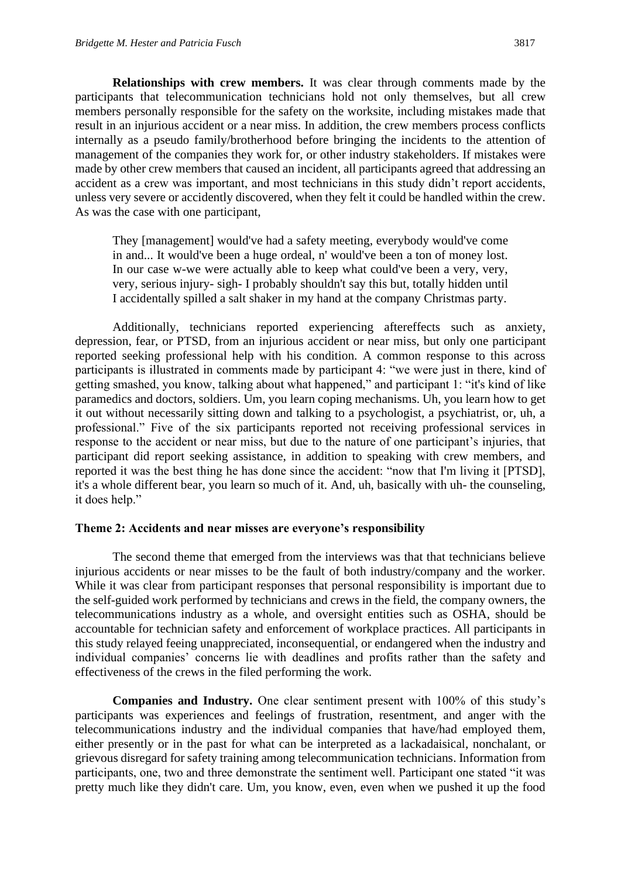**Relationships with crew members.** It was clear through comments made by the participants that telecommunication technicians hold not only themselves, but all crew members personally responsible for the safety on the worksite, including mistakes made that result in an injurious accident or a near miss. In addition, the crew members process conflicts internally as a pseudo family/brotherhood before bringing the incidents to the attention of management of the companies they work for, or other industry stakeholders. If mistakes were made by other crew members that caused an incident, all participants agreed that addressing an accident as a crew was important, and most technicians in this study didn't report accidents, unless very severe or accidently discovered, when they felt it could be handled within the crew. As was the case with one participant,

They [management] would've had a safety meeting, everybody would've come in and... It would've been a huge ordeal, n' would've been a ton of money lost. In our case w-we were actually able to keep what could've been a very, very, very, serious injury- sigh- I probably shouldn't say this but, totally hidden until I accidentally spilled a salt shaker in my hand at the company Christmas party.

Additionally, technicians reported experiencing aftereffects such as anxiety, depression, fear, or PTSD, from an injurious accident or near miss, but only one participant reported seeking professional help with his condition. A common response to this across participants is illustrated in comments made by participant 4: "we were just in there, kind of getting smashed, you know, talking about what happened," and participant 1: "it's kind of like paramedics and doctors, soldiers. Um, you learn coping mechanisms. Uh, you learn how to get it out without necessarily sitting down and talking to a psychologist, a psychiatrist, or, uh, a professional." Five of the six participants reported not receiving professional services in response to the accident or near miss, but due to the nature of one participant's injuries, that participant did report seeking assistance, in addition to speaking with crew members, and reported it was the best thing he has done since the accident: "now that I'm living it [PTSD], it's a whole different bear, you learn so much of it. And, uh, basically with uh- the counseling, it does help."

## **Theme 2: Accidents and near misses are everyone's responsibility**

The second theme that emerged from the interviews was that that technicians believe injurious accidents or near misses to be the fault of both industry/company and the worker. While it was clear from participant responses that personal responsibility is important due to the self-guided work performed by technicians and crews in the field, the company owners, the telecommunications industry as a whole, and oversight entities such as OSHA, should be accountable for technician safety and enforcement of workplace practices. All participants in this study relayed feeing unappreciated, inconsequential, or endangered when the industry and individual companies' concerns lie with deadlines and profits rather than the safety and effectiveness of the crews in the filed performing the work.

**Companies and Industry.** One clear sentiment present with 100% of this study's participants was experiences and feelings of frustration, resentment, and anger with the telecommunications industry and the individual companies that have/had employed them, either presently or in the past for what can be interpreted as a lackadaisical, nonchalant, or grievous disregard for safety training among telecommunication technicians. Information from participants, one, two and three demonstrate the sentiment well. Participant one stated "it was pretty much like they didn't care. Um, you know, even, even when we pushed it up the food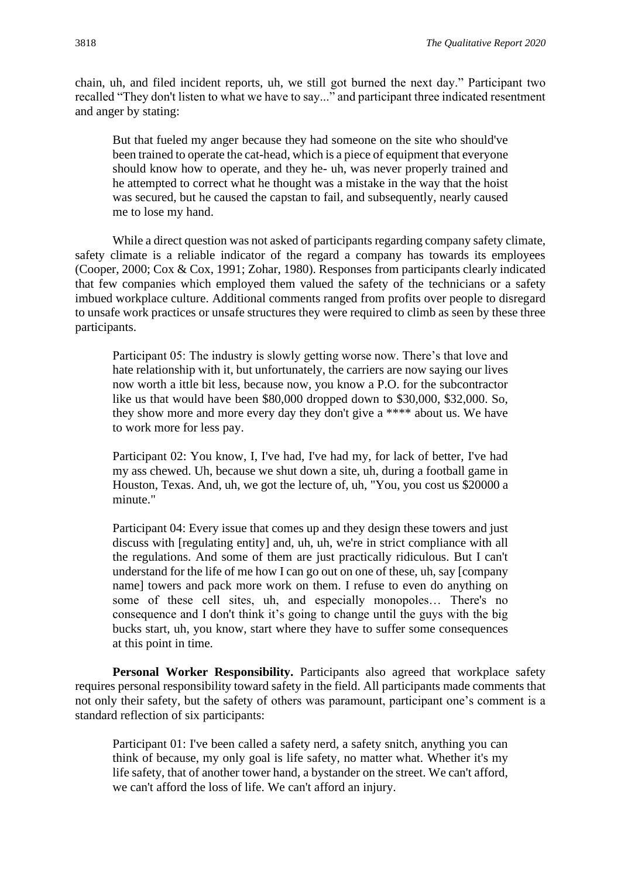chain, uh, and filed incident reports, uh, we still got burned the next day." Participant two recalled "They don't listen to what we have to say..." and participant three indicated resentment and anger by stating:

But that fueled my anger because they had someone on the site who should've been trained to operate the cat-head, which is a piece of equipment that everyone should know how to operate, and they he- uh, was never properly trained and he attempted to correct what he thought was a mistake in the way that the hoist was secured, but he caused the capstan to fail, and subsequently, nearly caused me to lose my hand.

While a direct question was not asked of participants regarding company safety climate, safety climate is a reliable indicator of the regard a company has towards its employees (Cooper, 2000; Cox & Cox, 1991; Zohar, 1980). Responses from participants clearly indicated that few companies which employed them valued the safety of the technicians or a safety imbued workplace culture. Additional comments ranged from profits over people to disregard to unsafe work practices or unsafe structures they were required to climb as seen by these three participants.

Participant 05: The industry is slowly getting worse now. There's that love and hate relationship with it, but unfortunately, the carriers are now saying our lives now worth a ittle bit less, because now, you know a P.O. for the subcontractor like us that would have been \$80,000 dropped down to \$30,000, \$32,000. So, they show more and more every day they don't give a \*\*\*\* about us. We have to work more for less pay.

Participant 02: You know, I, I've had, I've had my, for lack of better, I've had my ass chewed. Uh, because we shut down a site, uh, during a football game in Houston, Texas. And, uh, we got the lecture of, uh, "You, you cost us \$20000 a minute."

Participant 04: Every issue that comes up and they design these towers and just discuss with [regulating entity] and, uh, uh, we're in strict compliance with all the regulations. And some of them are just practically ridiculous. But I can't understand for the life of me how I can go out on one of these, uh, say [company name] towers and pack more work on them. I refuse to even do anything on some of these cell sites, uh, and especially monopoles… There's no consequence and I don't think it's going to change until the guys with the big bucks start, uh, you know, start where they have to suffer some consequences at this point in time.

**Personal Worker Responsibility.** Participants also agreed that workplace safety requires personal responsibility toward safety in the field. All participants made comments that not only their safety, but the safety of others was paramount, participant one's comment is a standard reflection of six participants:

Participant 01: I've been called a safety nerd, a safety snitch, anything you can think of because, my only goal is life safety, no matter what. Whether it's my life safety, that of another tower hand, a bystander on the street. We can't afford, we can't afford the loss of life. We can't afford an injury.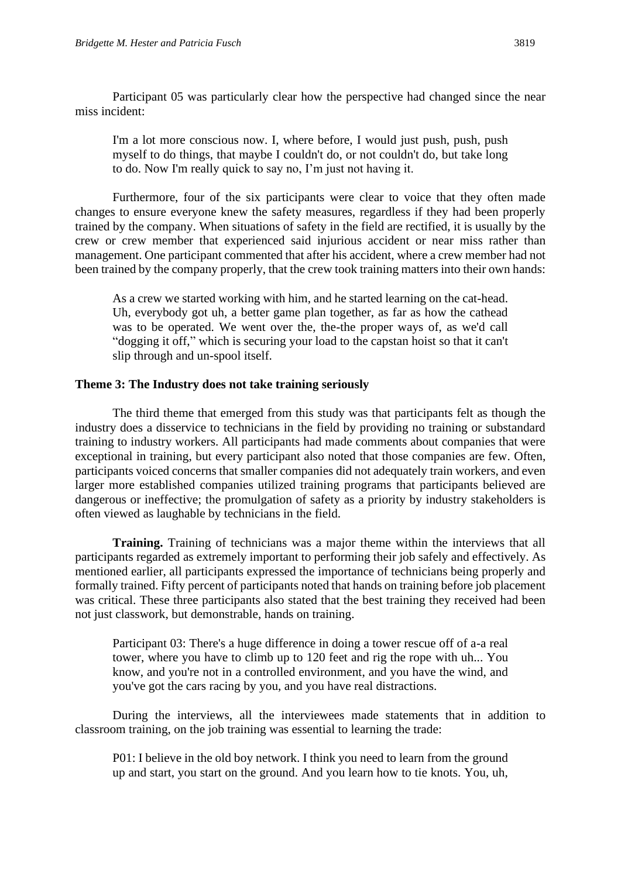Participant 05 was particularly clear how the perspective had changed since the near miss incident:

I'm a lot more conscious now. I, where before, I would just push, push, push myself to do things, that maybe I couldn't do, or not couldn't do, but take long to do. Now I'm really quick to say no, I'm just not having it.

Furthermore, four of the six participants were clear to voice that they often made changes to ensure everyone knew the safety measures, regardless if they had been properly trained by the company. When situations of safety in the field are rectified, it is usually by the crew or crew member that experienced said injurious accident or near miss rather than management. One participant commented that after his accident, where a crew member had not been trained by the company properly, that the crew took training matters into their own hands:

As a crew we started working with him, and he started learning on the cat-head. Uh, everybody got uh, a better game plan together, as far as how the cathead was to be operated. We went over the, the-the proper ways of, as we'd call "dogging it off," which is securing your load to the capstan hoist so that it can't slip through and un-spool itself.

### **Theme 3: The Industry does not take training seriously**

The third theme that emerged from this study was that participants felt as though the industry does a disservice to technicians in the field by providing no training or substandard training to industry workers. All participants had made comments about companies that were exceptional in training, but every participant also noted that those companies are few. Often, participants voiced concerns that smaller companies did not adequately train workers, and even larger more established companies utilized training programs that participants believed are dangerous or ineffective; the promulgation of safety as a priority by industry stakeholders is often viewed as laughable by technicians in the field.

**Training.** Training of technicians was a major theme within the interviews that all participants regarded as extremely important to performing their job safely and effectively. As mentioned earlier, all participants expressed the importance of technicians being properly and formally trained. Fifty percent of participants noted that hands on training before job placement was critical. These three participants also stated that the best training they received had been not just classwork, but demonstrable, hands on training.

Participant 03: There's a huge difference in doing a tower rescue off of a-a real tower, where you have to climb up to 120 feet and rig the rope with uh... You know, and you're not in a controlled environment, and you have the wind, and you've got the cars racing by you, and you have real distractions.

During the interviews, all the interviewees made statements that in addition to classroom training, on the job training was essential to learning the trade:

P01: I believe in the old boy network. I think you need to learn from the ground up and start, you start on the ground. And you learn how to tie knots. You, uh,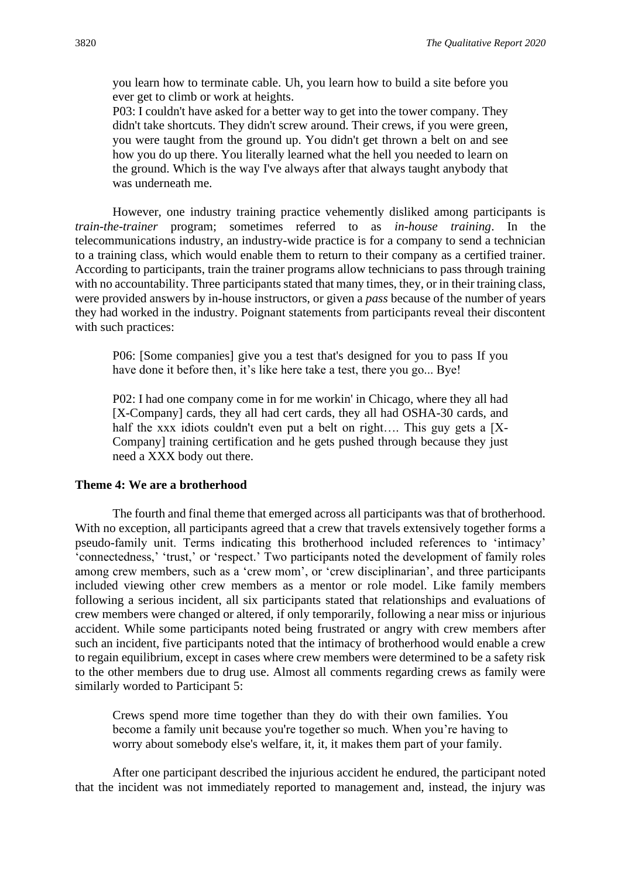you learn how to terminate cable. Uh, you learn how to build a site before you ever get to climb or work at heights.

P03: I couldn't have asked for a better way to get into the tower company. They didn't take shortcuts. They didn't screw around. Their crews, if you were green, you were taught from the ground up. You didn't get thrown a belt on and see how you do up there. You literally learned what the hell you needed to learn on the ground. Which is the way I've always after that always taught anybody that was underneath me.

However, one industry training practice vehemently disliked among participants is *train-the-trainer* program; sometimes referred to as *in-house training*. In the telecommunications industry, an industry-wide practice is for a company to send a technician to a training class, which would enable them to return to their company as a certified trainer. According to participants, train the trainer programs allow technicians to pass through training with no accountability. Three participants stated that many times, they, or in their training class, were provided answers by in-house instructors, or given a *pass* because of the number of years they had worked in the industry. Poignant statements from participants reveal their discontent with such practices:

P06: [Some companies] give you a test that's designed for you to pass If you have done it before then, it's like here take a test, there you go... Bye!

P02: I had one company come in for me workin' in Chicago, where they all had [X-Company] cards, they all had cert cards, they all had OSHA-30 cards, and half the xxx idiots couldn't even put a belt on right.... This guy gets a [X-Company] training certification and he gets pushed through because they just need a XXX body out there.

#### **Theme 4: We are a brotherhood**

The fourth and final theme that emerged across all participants was that of brotherhood. With no exception, all participants agreed that a crew that travels extensively together forms a pseudo-family unit. Terms indicating this brotherhood included references to 'intimacy' 'connectedness,' 'trust,' or 'respect.' Two participants noted the development of family roles among crew members, such as a 'crew mom', or 'crew disciplinarian', and three participants included viewing other crew members as a mentor or role model. Like family members following a serious incident, all six participants stated that relationships and evaluations of crew members were changed or altered, if only temporarily, following a near miss or injurious accident. While some participants noted being frustrated or angry with crew members after such an incident, five participants noted that the intimacy of brotherhood would enable a crew to regain equilibrium, except in cases where crew members were determined to be a safety risk to the other members due to drug use. Almost all comments regarding crews as family were similarly worded to Participant 5:

Crews spend more time together than they do with their own families. You become a family unit because you're together so much. When you're having to worry about somebody else's welfare, it, it, it makes them part of your family.

After one participant described the injurious accident he endured, the participant noted that the incident was not immediately reported to management and, instead, the injury was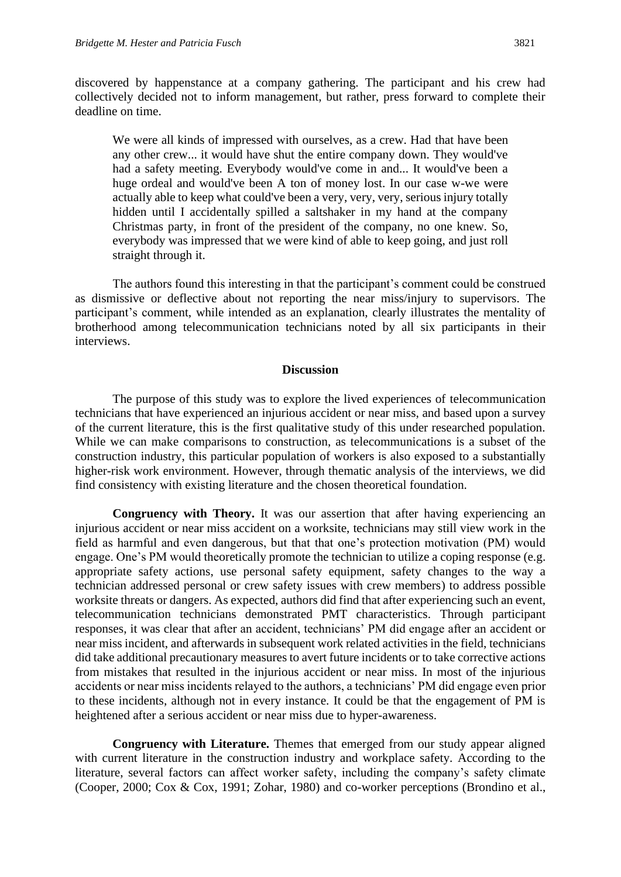discovered by happenstance at a company gathering. The participant and his crew had collectively decided not to inform management, but rather, press forward to complete their deadline on time.

We were all kinds of impressed with ourselves, as a crew. Had that have been any other crew... it would have shut the entire company down. They would've had a safety meeting. Everybody would've come in and... It would've been a huge ordeal and would've been A ton of money lost. In our case w-we were actually able to keep what could've been a very, very, very, serious injury totally hidden until I accidentally spilled a saltshaker in my hand at the company Christmas party, in front of the president of the company, no one knew. So, everybody was impressed that we were kind of able to keep going, and just roll straight through it.

The authors found this interesting in that the participant's comment could be construed as dismissive or deflective about not reporting the near miss/injury to supervisors. The participant's comment, while intended as an explanation, clearly illustrates the mentality of brotherhood among telecommunication technicians noted by all six participants in their interviews.

## **Discussion**

The purpose of this study was to explore the lived experiences of telecommunication technicians that have experienced an injurious accident or near miss, and based upon a survey of the current literature, this is the first qualitative study of this under researched population. While we can make comparisons to construction, as telecommunications is a subset of the construction industry, this particular population of workers is also exposed to a substantially higher-risk work environment. However, through thematic analysis of the interviews, we did find consistency with existing literature and the chosen theoretical foundation.

**Congruency with Theory.** It was our assertion that after having experiencing an injurious accident or near miss accident on a worksite, technicians may still view work in the field as harmful and even dangerous, but that that one's protection motivation (PM) would engage. One's PM would theoretically promote the technician to utilize a coping response (e.g. appropriate safety actions, use personal safety equipment, safety changes to the way a technician addressed personal or crew safety issues with crew members) to address possible worksite threats or dangers. As expected, authors did find that after experiencing such an event, telecommunication technicians demonstrated PMT characteristics. Through participant responses, it was clear that after an accident, technicians' PM did engage after an accident or near miss incident, and afterwards in subsequent work related activities in the field, technicians did take additional precautionary measures to avert future incidents or to take corrective actions from mistakes that resulted in the injurious accident or near miss. In most of the injurious accidents or near miss incidents relayed to the authors, a technicians' PM did engage even prior to these incidents, although not in every instance. It could be that the engagement of PM is heightened after a serious accident or near miss due to hyper-awareness.

**Congruency with Literature.** Themes that emerged from our study appear aligned with current literature in the construction industry and workplace safety. According to the literature, several factors can affect worker safety, including the company's safety climate (Cooper, 2000; Cox & Cox, 1991; Zohar, 1980) and co-worker perceptions (Brondino et al.,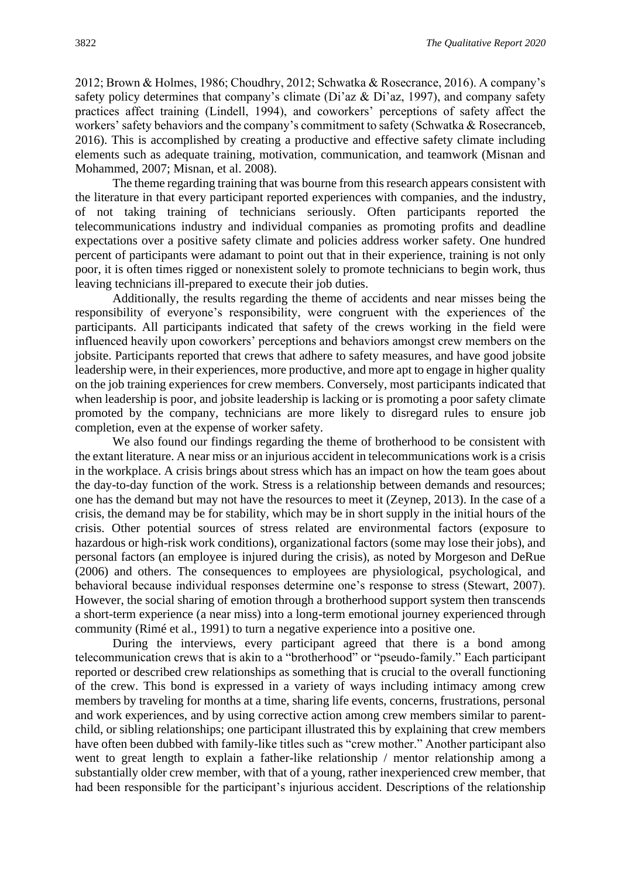2012; Brown & Holmes, 1986; Choudhry, 2012; Schwatka & Rosecrance, 2016). A company's safety policy determines that company's climate (Di'az & Di'az, 1997), and company safety practices affect training (Lindell, 1994), and coworkers' perceptions of safety affect the workers' safety behaviors and the company's commitment to safety (Schwatka & Rosecranceb, 2016). This is accomplished by creating a productive and effective safety climate including elements such as adequate training, motivation, communication, and teamwork (Misnan and Mohammed, 2007; Misnan, et al. 2008).

The theme regarding training that was bourne from this research appears consistent with the literature in that every participant reported experiences with companies, and the industry, of not taking training of technicians seriously. Often participants reported the telecommunications industry and individual companies as promoting profits and deadline expectations over a positive safety climate and policies address worker safety. One hundred percent of participants were adamant to point out that in their experience, training is not only poor, it is often times rigged or nonexistent solely to promote technicians to begin work, thus leaving technicians ill-prepared to execute their job duties.

Additionally, the results regarding the theme of accidents and near misses being the responsibility of everyone's responsibility, were congruent with the experiences of the participants. All participants indicated that safety of the crews working in the field were influenced heavily upon coworkers' perceptions and behaviors amongst crew members on the jobsite. Participants reported that crews that adhere to safety measures, and have good jobsite leadership were, in their experiences, more productive, and more apt to engage in higher quality on the job training experiences for crew members. Conversely, most participants indicated that when leadership is poor, and jobsite leadership is lacking or is promoting a poor safety climate promoted by the company, technicians are more likely to disregard rules to ensure job completion, even at the expense of worker safety.

We also found our findings regarding the theme of brotherhood to be consistent with the extant literature. A near miss or an injurious accident in telecommunications work is a crisis in the workplace. A crisis brings about stress which has an impact on how the team goes about the day-to-day function of the work. Stress is a relationship between demands and resources; one has the demand but may not have the resources to meet it (Zeynep, 2013). In the case of a crisis, the demand may be for stability, which may be in short supply in the initial hours of the crisis. Other potential sources of stress related are environmental factors (exposure to hazardous or high-risk work conditions), organizational factors (some may lose their jobs), and personal factors (an employee is injured during the crisis), as noted by Morgeson and DeRue (2006) and others. The consequences to employees are physiological, psychological, and behavioral because individual responses determine one's response to stress (Stewart, 2007). However, the social sharing of emotion through a brotherhood support system then transcends a short-term experience (a near miss) into a long-term emotional journey experienced through community (Rimé et al., 1991) to turn a negative experience into a positive one.

During the interviews, every participant agreed that there is a bond among telecommunication crews that is akin to a "brotherhood" or "pseudo-family." Each participant reported or described crew relationships as something that is crucial to the overall functioning of the crew. This bond is expressed in a variety of ways including intimacy among crew members by traveling for months at a time, sharing life events, concerns, frustrations, personal and work experiences, and by using corrective action among crew members similar to parentchild, or sibling relationships; one participant illustrated this by explaining that crew members have often been dubbed with family-like titles such as "crew mother." Another participant also went to great length to explain a father-like relationship / mentor relationship among a substantially older crew member, with that of a young, rather inexperienced crew member, that had been responsible for the participant's injurious accident. Descriptions of the relationship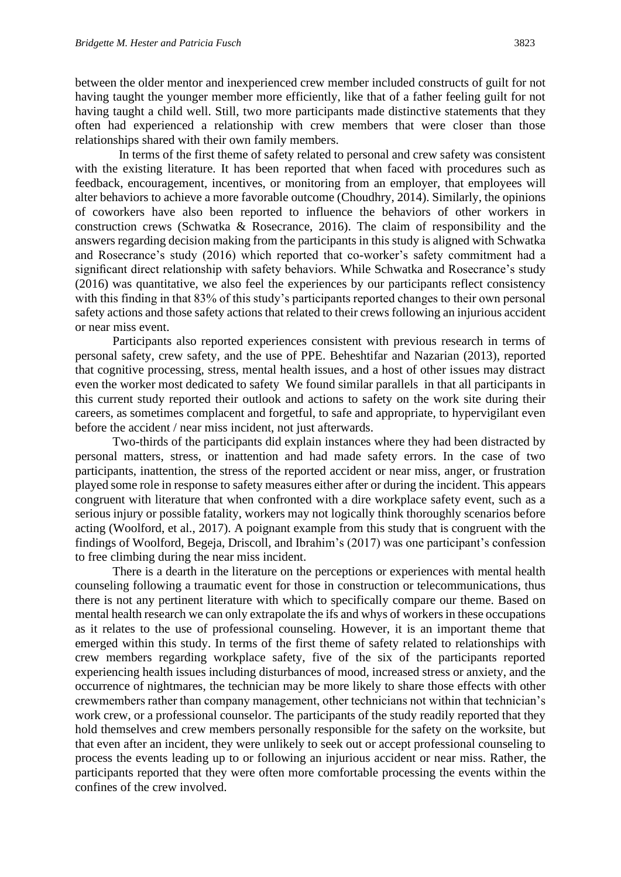between the older mentor and inexperienced crew member included constructs of guilt for not having taught the younger member more efficiently, like that of a father feeling guilt for not having taught a child well. Still, two more participants made distinctive statements that they often had experienced a relationship with crew members that were closer than those relationships shared with their own family members.

 In terms of the first theme of safety related to personal and crew safety was consistent with the existing literature. It has been reported that when faced with procedures such as feedback, encouragement, incentives, or monitoring from an employer, that employees will alter behaviors to achieve a more favorable outcome (Choudhry, 2014). Similarly, the opinions of coworkers have also been reported to influence the behaviors of other workers in construction crews (Schwatka & Rosecrance, 2016). The claim of responsibility and the answers regarding decision making from the participants in this study is aligned with Schwatka and Rosecrance's study (2016) which reported that co-worker's safety commitment had a significant direct relationship with safety behaviors. While Schwatka and Rosecrance's study (2016) was quantitative, we also feel the experiences by our participants reflect consistency with this finding in that 83% of this study's participants reported changes to their own personal safety actions and those safety actions that related to their crews following an injurious accident or near miss event.

Participants also reported experiences consistent with previous research in terms of personal safety, crew safety, and the use of PPE. Beheshtifar and Nazarian (2013), reported that cognitive processing, stress, mental health issues, and a host of other issues may distract even the worker most dedicated to safety We found similar parallels in that all participants in this current study reported their outlook and actions to safety on the work site during their careers, as sometimes complacent and forgetful, to safe and appropriate, to hypervigilant even before the accident / near miss incident, not just afterwards.

Two-thirds of the participants did explain instances where they had been distracted by personal matters, stress, or inattention and had made safety errors. In the case of two participants, inattention, the stress of the reported accident or near miss, anger, or frustration played some role in response to safety measures either after or during the incident. This appears congruent with literature that when confronted with a dire workplace safety event, such as a serious injury or possible fatality, workers may not logically think thoroughly scenarios before acting (Woolford, et al., 2017). A poignant example from this study that is congruent with the findings of Woolford, Begeja, Driscoll, and Ibrahim's (2017) was one participant's confession to free climbing during the near miss incident.

There is a dearth in the literature on the perceptions or experiences with mental health counseling following a traumatic event for those in construction or telecommunications, thus there is not any pertinent literature with which to specifically compare our theme. Based on mental health research we can only extrapolate the ifs and whys of workers in these occupations as it relates to the use of professional counseling. However, it is an important theme that emerged within this study. In terms of the first theme of safety related to relationships with crew members regarding workplace safety, five of the six of the participants reported experiencing health issues including disturbances of mood, increased stress or anxiety, and the occurrence of nightmares, the technician may be more likely to share those effects with other crewmembers rather than company management, other technicians not within that technician's work crew, or a professional counselor. The participants of the study readily reported that they hold themselves and crew members personally responsible for the safety on the worksite, but that even after an incident, they were unlikely to seek out or accept professional counseling to process the events leading up to or following an injurious accident or near miss. Rather, the participants reported that they were often more comfortable processing the events within the confines of the crew involved.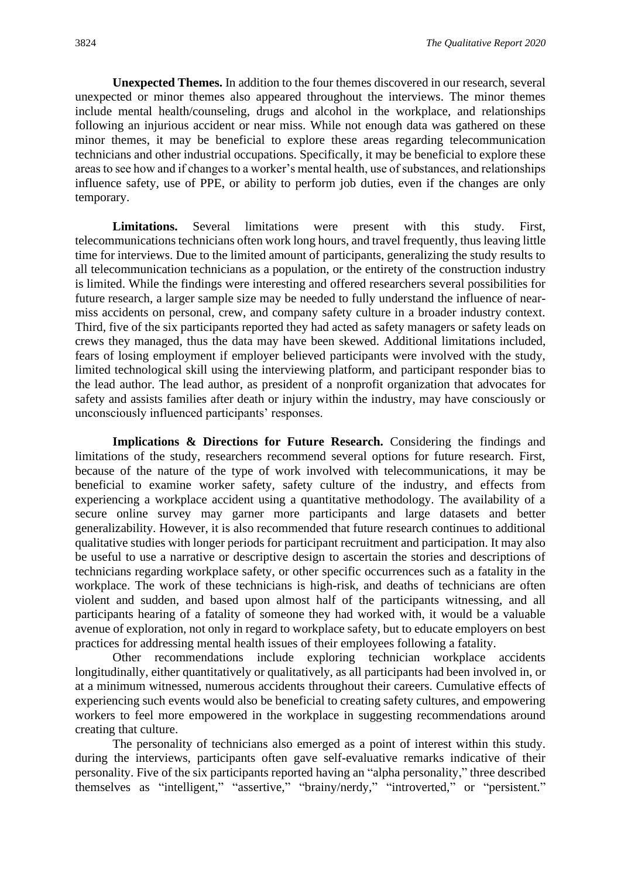**Unexpected Themes.** In addition to the four themes discovered in our research, several unexpected or minor themes also appeared throughout the interviews. The minor themes include mental health/counseling, drugs and alcohol in the workplace, and relationships following an injurious accident or near miss. While not enough data was gathered on these minor themes, it may be beneficial to explore these areas regarding telecommunication technicians and other industrial occupations. Specifically, it may be beneficial to explore these areas to see how and if changes to a worker's mental health, use of substances, and relationships influence safety, use of PPE, or ability to perform job duties, even if the changes are only temporary.

**Limitations.** Several limitations were present with this study. First, telecommunications technicians often work long hours, and travel frequently, thus leaving little time for interviews. Due to the limited amount of participants, generalizing the study results to all telecommunication technicians as a population, or the entirety of the construction industry is limited. While the findings were interesting and offered researchers several possibilities for future research, a larger sample size may be needed to fully understand the influence of nearmiss accidents on personal, crew, and company safety culture in a broader industry context. Third, five of the six participants reported they had acted as safety managers or safety leads on crews they managed, thus the data may have been skewed. Additional limitations included, fears of losing employment if employer believed participants were involved with the study, limited technological skill using the interviewing platform, and participant responder bias to the lead author. The lead author, as president of a nonprofit organization that advocates for safety and assists families after death or injury within the industry, may have consciously or unconsciously influenced participants' responses.

**Implications & Directions for Future Research.** Considering the findings and limitations of the study, researchers recommend several options for future research. First, because of the nature of the type of work involved with telecommunications, it may be beneficial to examine worker safety, safety culture of the industry, and effects from experiencing a workplace accident using a quantitative methodology. The availability of a secure online survey may garner more participants and large datasets and better generalizability. However, it is also recommended that future research continues to additional qualitative studies with longer periods for participant recruitment and participation. It may also be useful to use a narrative or descriptive design to ascertain the stories and descriptions of technicians regarding workplace safety, or other specific occurrences such as a fatality in the workplace. The work of these technicians is high-risk, and deaths of technicians are often violent and sudden, and based upon almost half of the participants witnessing, and all participants hearing of a fatality of someone they had worked with, it would be a valuable avenue of exploration, not only in regard to workplace safety, but to educate employers on best practices for addressing mental health issues of their employees following a fatality.

Other recommendations include exploring technician workplace accidents longitudinally, either quantitatively or qualitatively, as all participants had been involved in, or at a minimum witnessed, numerous accidents throughout their careers. Cumulative effects of experiencing such events would also be beneficial to creating safety cultures, and empowering workers to feel more empowered in the workplace in suggesting recommendations around creating that culture.

The personality of technicians also emerged as a point of interest within this study. during the interviews, participants often gave self-evaluative remarks indicative of their personality. Five of the six participants reported having an "alpha personality," three described themselves as "intelligent," "assertive," "brainy/nerdy," "introverted," or "persistent."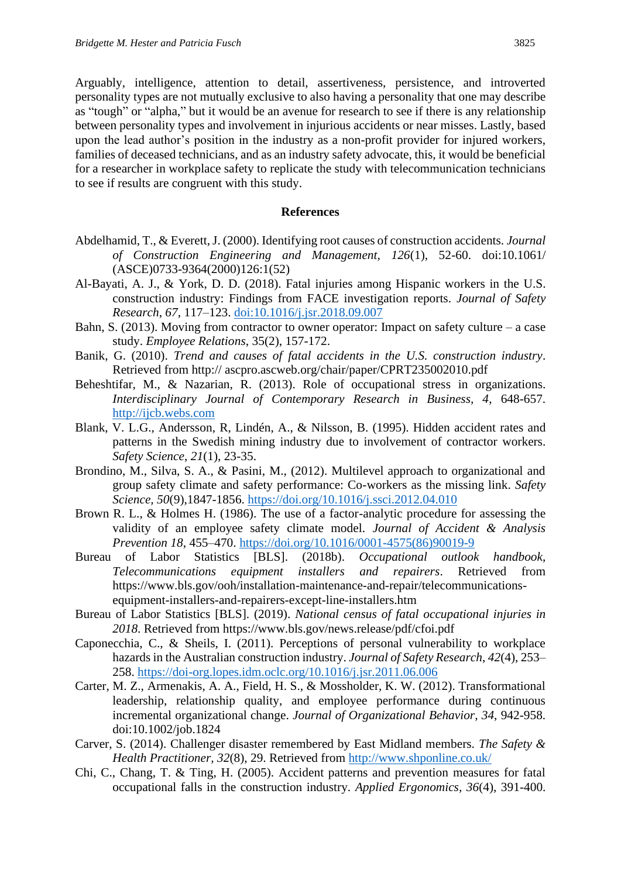Arguably, intelligence, attention to detail, assertiveness, persistence, and introverted personality types are not mutually exclusive to also having a personality that one may describe as "tough" or "alpha," but it would be an avenue for research to see if there is any relationship between personality types and involvement in injurious accidents or near misses. Lastly, based upon the lead author's position in the industry as a non-profit provider for injured workers, families of deceased technicians, and as an industry safety advocate, this, it would be beneficial for a researcher in workplace safety to replicate the study with telecommunication technicians to see if results are congruent with this study.

#### **References**

- Abdelhamid, T., & Everett, J. (2000). Identifying root causes of construction accidents. *Journal of Construction Engineering and Management, 126*(1), 52-60. doi:10.1061/ (ASCE)0733-9364(2000)126:1(52)
- Al-Bayati, A. J., & York, D. D. (2018). Fatal injuries among Hispanic workers in the U.S. construction industry: Findings from FACE investigation reports. *Journal of Safety Research*, *67*, 117–123. [doi:10.1016/j.jsr.2018.09.007](https://doi-org.lopes.idm.oclc.org/10.1016/j.jsr.2018.09.007)
- Bahn, S. (2013). Moving from contractor to owner operator: Impact on safety culture a case study. *Employee Relations*, 35(2), 157-172.
- Banik, G. (2010). *Trend and causes of fatal accidents in the U.S. construction industry*. Retrieved from http:// ascpro.ascweb.org/chair/paper/CPRT235002010.pdf
- Beheshtifar, M., & Nazarian, R. (2013). Role of occupational stress in organizations. *Interdisciplinary Journal of Contemporary Research in Business, 4*, 648-657. [http://ijcb.webs.com](http://ijcb.webs.com/)
- Blank, V. L.G., Andersson, R, Lindén, A., & Nilsson, B. (1995). Hidden accident rates and patterns in the Swedish mining industry due to involvement of contractor workers. *Safety Science*, *21*(1), 23-35.
- Brondino, M., Silva, S. A., & Pasini, M., (2012). Multilevel approach to organizational and group safety climate and safety performance: Co-workers as the missing link. *Safety Science, 50*(9),1847-1856.<https://doi.org/10.1016/j.ssci.2012.04.010>
- Brown R. L., & Holmes H. (1986). The use of a factor-analytic procedure for assessing the validity of an employee safety climate model. *Journal of Accident & Analysis Prevention 18*, 455–470. [https://doi.org/10.1016/0001-4575\(86\)90019-9](https://doi.org/10.1016/0001-4575(86)90019-9)
- Bureau of Labor Statistics [BLS]. (2018b). *Occupational outlook handbook*, *Telecommunications equipment installers and repairers*. Retrieved from https://www.bls.gov/ooh/installation-maintenance-and-repair/telecommunicationsequipment-installers-and-repairers-except-line-installers.htm
- Bureau of Labor Statistics [BLS]. (2019). *National census of fatal occupational injuries in 2018*. Retrieved from https://www.bls.gov/news.release/pdf/cfoi.pdf
- Caponecchia, C., & Sheils, I. (2011). Perceptions of personal vulnerability to workplace hazards in the Australian construction industry. *Journal of Safety Research*, *42*(4), 253– 258.<https://doi-org.lopes.idm.oclc.org/10.1016/j.jsr.2011.06.006>
- Carter, M. Z., Armenakis, A. A., Field, H. S., & Mossholder, K. W. (2012). Transformational leadership, relationship quality, and employee performance during continuous incremental organizational change. *Journal of Organizational Behavior*, *34*, 942-958. doi:10.1002/job.1824
- Carver, S. (2014). Challenger disaster remembered by East Midland members. *The Safety & Health Practitioner, 32*(8), 29. Retrieved from<http://www.shponline.co.uk/>
- Chi, C., Chang, T. & Ting, H. (2005). Accident patterns and prevention measures for fatal occupational falls in the construction industry. *Applied Ergonomics, 36*(4), 391-400.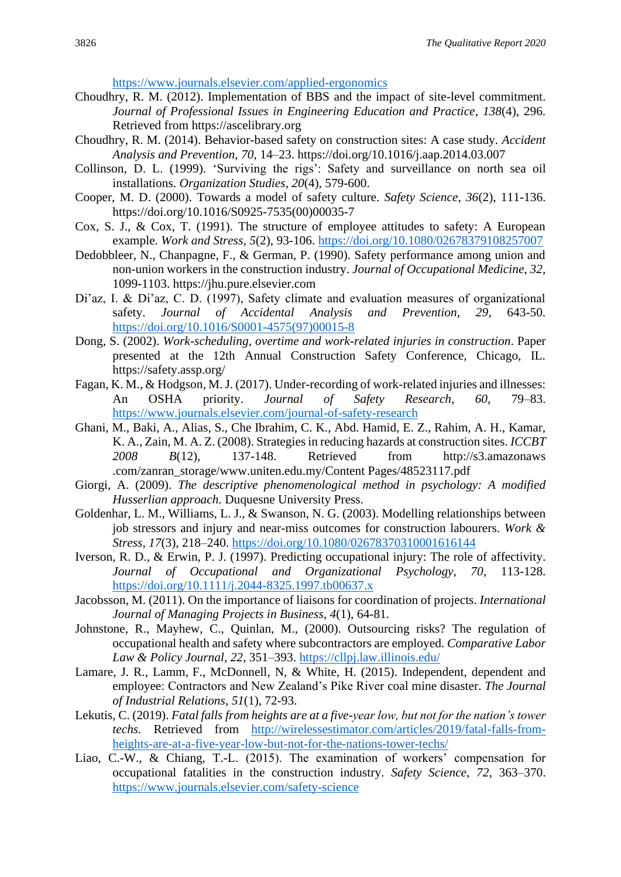<https://www.journals.elsevier.com/applied-ergonomics>

- Choudhry, R. M. (2012). Implementation of BBS and the impact of site-level commitment. *Journal of Professional Issues in Engineering Education and Practice*, *138*(4), 296. Retrieved from https://ascelibrary.org
- Choudhry, R. M. (2014). Behavior-based safety on construction sites: A case study. *Accident Analysis and Prevention*, *70*, 14–23. https://doi.org/10.1016/j.aap.2014.03.007
- Collinson, D. L. (1999). 'Surviving the rigs': Safety and surveillance on north sea oil installations. *Organization Studies*, *20*(4), 579-600.
- Cooper, M. D. (2000). Towards a model of safety culture. *Safety Science, 36*(2), 111-136. https://doi.org/10.1016/S0925-7535(00)00035-7
- Cox, S. J., & Cox, T. (1991). The structure of employee attitudes to safety: A European example. *Work and Stress, 5*(2), 93-106.<https://doi.org/10.1080/02678379108257007>
- Dedobbleer, N., Chanpagne, F., & German, P. (1990). Safety performance among union and non-union workers in the construction industry. *Journal of Occupational Medicine, 32*, 1099-1103. https://jhu.pure.elsevier.com
- Di'az, I. & Di'az, C. D. (1997), Safety climate and evaluation measures of organizational safety. *Journal of Accidental Analysis and Prevention, 29*, 643-50. [https://doi.org/10.1016/S0001-4575\(97\)00015-8](https://doi.org/10.1016/S0001-4575(97)00015-8)
- Dong, S. (2002). *Work-scheduling, overtime and work-related injuries in construction*. Paper presented at the 12th Annual Construction Safety Conference, Chicago, IL. https://safety.assp.org/
- Fagan, K. M., & Hodgson, M. J. (2017). Under-recording of work-related injuries and illnesses: An OSHA priority. *Journal of Safety Research*, *60*, 79–83. <https://www.journals.elsevier.com/journal-of-safety-research>
- Ghani, M., Baki, A., Alias, S., Che Ibrahim, C. K., Abd. Hamid, E. Z., Rahim, A. H., Kamar, K. A., Zain, M. A. Z. (2008). Strategies in reducing hazards at construction sites. *ICCBT 2008 B*(12), 137-148. Retrieved from http://s3.amazonaws .com/zanran\_storage/www.uniten.edu.my/Content Pages/48523117.pdf
- Giorgi, A. (2009). *The descriptive phenomenological method in psychology: A modified Husserlian approach.* Duquesne University Press.
- Goldenhar, L. M., Williams, L. J., & Swanson, N. G. (2003). Modelling relationships between job stressors and injury and near-miss outcomes for construction labourers. *Work & Stress*, *17*(3), 218–240.<https://doi.org/10.1080/02678370310001616144>
- Iverson, R. D., & Erwin, P. J. (1997). Predicting occupational injury: The role of affectivity. *Journal of Occupational and Organizational Psychology, 70*, 113-128. <https://doi.org/10.1111/j.2044-8325.1997.tb00637.x>
- Jacobsson, M. (2011). On the importance of liaisons for coordination of projects. *International Journal of Managing Projects in Business, 4*(1), 64-81.
- Johnstone, R., Mayhew, C., Quinlan, M., (2000). Outsourcing risks? The regulation of occupational health and safety where subcontractors are employed. *Comparative Labor Law & Policy Journal, 22*, 351–393.<https://cllpj.law.illinois.edu/>
- Lamare, J. R., Lamm, F., McDonnell, N, & White, H. (2015). Independent, dependent and employee: Contractors and New Zealand's Pike River coal mine disaster. *The Journal of Industrial Relations*, *51*(1), 72-93.
- Lekutis, C. (2019). *Fatal falls from heights are at a five-year low, but not for the nation's tower techs.* Retrieved from [http://wirelessestimator.com/articles/2019/fatal-falls-from](http://wirelessestimator.com/articles/2019/fatal-falls-from-heights-are-at-a-five-year-low-but-not-for-the-nations-tower-techs/)[heights-are-at-a-five-year-low-but-not-for-the-nations-tower-techs/](http://wirelessestimator.com/articles/2019/fatal-falls-from-heights-are-at-a-five-year-low-but-not-for-the-nations-tower-techs/)
- Liao, C.-W., & Chiang, T.-L. (2015). The examination of workers' compensation for occupational fatalities in the construction industry. *Safety Science*, *72*, 363–370. <https://www.journals.elsevier.com/safety-science>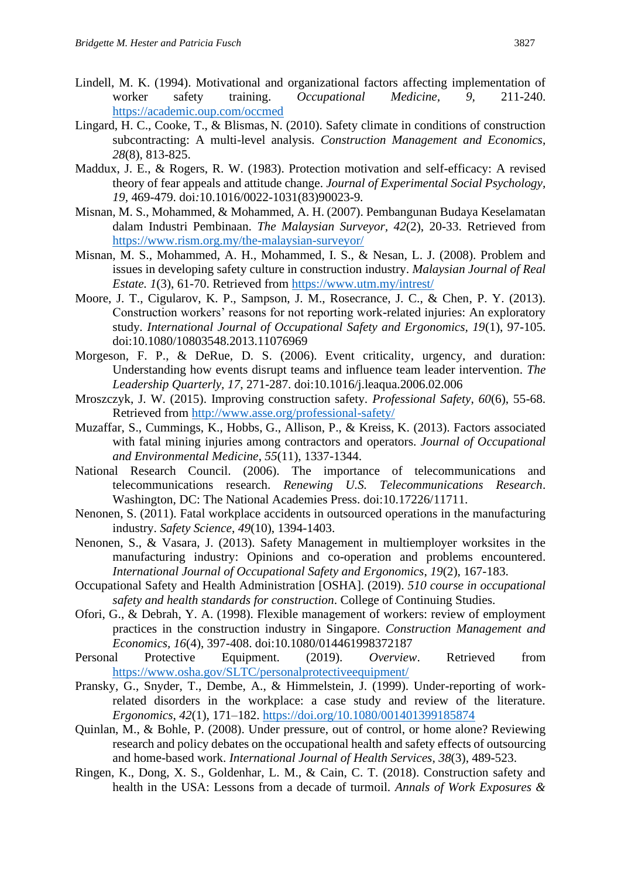- Lindell, M. K. (1994). Motivational and organizational factors affecting implementation of worker safety training. *Occupational Medicine, 9,* 211-240. <https://academic.oup.com/occmed>
- Lingard, H. C., Cooke, T., & Blismas, N. (2010). Safety climate in conditions of construction subcontracting: A multi-level analysis. *Construction Management and Economics*, *28*(8), 813-825.
- Maddux, J. E., & Rogers, R. W. (1983). Protection motivation and self-efficacy: A revised theory of fear appeals and attitude change. *Journal of Experimental Social Psychology, 19,* 469-479. doi*:*10.1016/0022-1031(83)90023-9*.*
- Misnan, M. S., Mohammed, & Mohammed, A. H. (2007). Pembangunan Budaya Keselamatan dalam Industri Pembinaan. *The Malaysian Surveyor, 42*(2), 20-33. Retrieved from <https://www.rism.org.my/the-malaysian-surveyor/>
- Misnan, M. S., Mohammed, A. H., Mohammed, I. S., & Nesan, L. J. (2008). Problem and issues in developing safety culture in construction industry. *Malaysian Journal of Real Estate. 1*(3), 61-70. Retrieved from<https://www.utm.my/intrest/>
- Moore, J. T., Cigularov, K. P., Sampson, J. M., Rosecrance, J. C., & Chen, P. Y. (2013). Construction workers' reasons for not reporting work-related injuries: An exploratory study*. International Journal of Occupational Safety and Ergonomics, 19*(1), 97-105. doi:10.1080/10803548.2013.11076969
- Morgeson, F. P., & DeRue, D. S. (2006). Event criticality, urgency, and duration: Understanding how events disrupt teams and influence team leader intervention. *The Leadership Quarterly, 17*, 271-287. doi:10.1016/j.leaqua.2006.02.006
- Mroszczyk, J. W. (2015). Improving construction safety. *Professional Safety*, *60*(6), 55-68. Retrieved from<http://www.asse.org/professional-safety/>
- Muzaffar, S., Cummings, K., Hobbs, G., Allison, P., & Kreiss, K. (2013). Factors associated with fatal mining injuries among contractors and operators. *Journal of Occupational and Environmental Medicine*, *55*(11), 1337-1344.
- National Research Council. (2006). The importance of telecommunications and telecommunications research. *Renewing U.S. Telecommunications Research*. Washington, DC: The National Academies Press. doi:10.17226/11711.
- Nenonen, S. (2011). Fatal workplace accidents in outsourced operations in the manufacturing industry. *Safety Science*, *49*(10), 1394-1403.
- Nenonen, S., & Vasara, J. (2013). Safety Management in multiemployer worksites in the manufacturing industry: Opinions and co-operation and problems encountered. *International Journal of Occupational Safety and Ergonomics*, *19*(2), 167-183.
- Occupational Safety and Health Administration [OSHA]. (2019). *510 course in occupational safety and health standards for construction*. College of Continuing Studies.
- Ofori, G., & Debrah, Y. A. (1998). Flexible management of workers: review of employment practices in the construction industry in Singapore. *Construction Management and Economics, 16*(4), 397-408. doi:10.1080/014461998372187
- Personal Protective Equipment. (2019). *Overview*. Retrieved from <https://www.osha.gov/SLTC/personalprotectiveequipment/>
- Pransky, G., Snyder, T., Dembe, A., & Himmelstein, J. (1999). Under-reporting of workrelated disorders in the workplace: a case study and review of the literature. *Ergonomics*, *42*(1), 171–182.<https://doi.org/10.1080/001401399185874>
- Quinlan, M., & Bohle, P. (2008). Under pressure, out of control, or home alone? Reviewing research and policy debates on the occupational health and safety effects of outsourcing and home-based work. *International Journal of Health Services*, *38*(3), 489-523.
- Ringen, K., Dong, X. S., Goldenhar, L. M., & Cain, C. T. (2018). Construction safety and health in the USA: Lessons from a decade of turmoil. *Annals of Work Exposures &*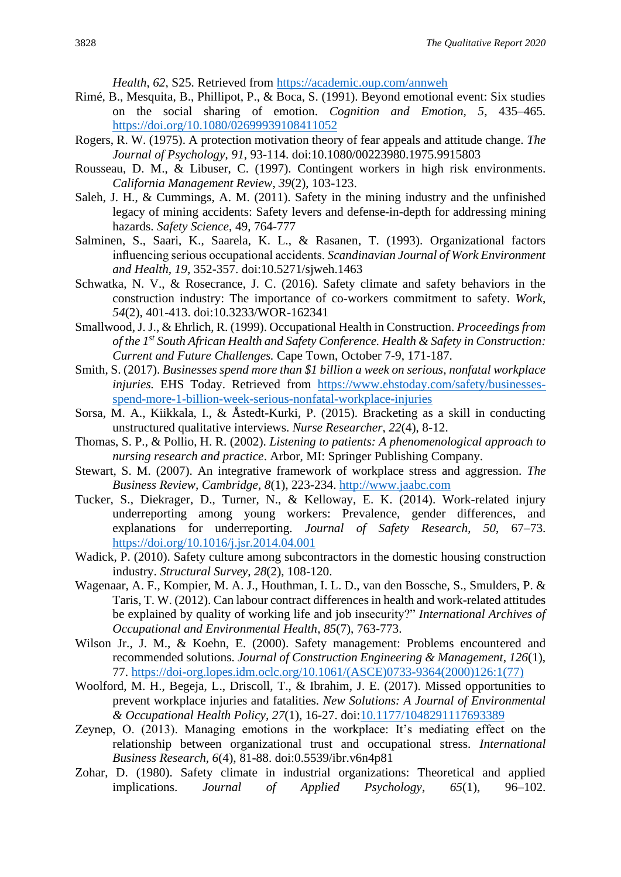*Health*, *62*, S25. Retrieved from<https://academic.oup.com/annweh>

- Rimé, B., Mesquita, B., Phillipot, P., & Boca, S. (1991). Beyond emotional event: Six studies on the social sharing of emotion. *Cognition and Emotion, 5*, 435–465. <https://doi.org/10.1080/02699939108411052>
- Rogers, R. W. (1975). A protection motivation theory of fear appeals and attitude change. *The Journal of Psychology*, *91*, 93-114. doi:10.1080/00223980.1975.9915803
- Rousseau, D. M., & Libuser, C. (1997). Contingent workers in high risk environments. *California Management Review*, *39*(2), 103-123.
- Saleh, J. H., & Cummings, A. M. (2011). Safety in the mining industry and the unfinished legacy of mining accidents: Safety levers and defense-in-depth for addressing mining hazards. *Safety Science*, 49, 764-777
- Salminen, S., Saari, K., Saarela, K. L., & Rasanen, T. (1993). Organizational factors influencing serious occupational accidents. *Scandinavian Journal of Work Environment and Health, 19*, 352-357. doi:10.5271/sjweh.1463
- Schwatka, N. V., & Rosecrance, J. C. (2016). Safety climate and safety behaviors in the construction industry: The importance of co-workers commitment to safety. *Work*, *54*(2), 401-413. doi:10.3233/WOR-162341
- Smallwood, J. J., & Ehrlich, R. (1999). Occupational Health in Construction. *Proceedings from of the 1st South African Health and Safety Conference. Health & Safety in Construction: Current and Future Challenges.* Cape Town, October 7-9, 171-187.
- Smith, S. (2017). *Businesses spend more than \$1 billion a week on serious, nonfatal workplace injuries.* EHS Today. Retrieved from [https://www.ehstoday.com/safety/businesses](https://www.ehstoday.com/safety/businesses-spend-more-1-billion-week-serious-nonfatal-workplace-injuries)[spend-more-1-billion-week-serious-nonfatal-workplace-injuries](https://www.ehstoday.com/safety/businesses-spend-more-1-billion-week-serious-nonfatal-workplace-injuries)
- Sorsa, M. A., Kiikkala, I., & Åstedt-Kurki, P. (2015). Bracketing as a skill in conducting unstructured qualitative interviews. *Nurse Researcher*, *22*(4), 8-12.
- Thomas, S. P., & Pollio, H. R. (2002). *Listening to patients: A phenomenological approach to nursing research and practice*. Arbor, MI: Springer Publishing Company.
- Stewart, S. M. (2007). An integrative framework of workplace stress and aggression. *The Business Review, Cambridge, 8*(1), 223-234. [http://www.jaabc.com](http://www.jaabc.com/)
- Tucker, S., Diekrager, D., Turner, N., & Kelloway, E. K. (2014). Work-related injury underreporting among young workers: Prevalence, gender differences, and explanations for underreporting. *Journal of Safety Research*, *50*, 67–73. <https://doi.org/10.1016/j.jsr.2014.04.001>
- Wadick, P. (2010). Safety culture among subcontractors in the domestic housing construction industry. *Structural Survey*, *28*(2), 108-120.
- Wagenaar, A. F., Kompier, M. A. J., Houthman, I. L. D., van den Bossche, S., Smulders, P. & Taris, T. W. (2012). Can labour contract differences in health and work-related attitudes be explained by quality of working life and job insecurity?" *International Archives of Occupational and Environmental Health*, *85*(7), 763-773.
- Wilson Jr., J. M., & Koehn, E. (2000). Safety management: Problems encountered and recommended solutions. *Journal of Construction Engineering & Management*, *126*(1), 77. [https://doi-org.lopes.idm.oclc.org/10.1061/\(ASCE\)0733-9364\(2000\)126:1\(77\)](https://doi-org.lopes.idm.oclc.org/10.1061/(ASCE)0733-9364(2000)126:1(77))
- Woolford, M. H., Begeja, L., Driscoll, T., & Ibrahim, J. E. (2017). Missed opportunities to prevent workplace injuries and fatalities. *New Solutions: A Journal of Environmental & Occupational Health Policy, 27*(1), 16-27. doi[:10.1177/1048291117693389](http://dx.doi.org.proxy-library.ashford.edu/10.1177/1048291117693389)
- Zeynep, O. (2013). Managing emotions in the workplace: It's mediating effect on the relationship between organizational trust and occupational stress. *International Business Research, 6*(4), 81-88. doi:0.5539/ibr.v6n4p81
- Zohar, D. (1980). Safety climate in industrial organizations: Theoretical and applied implications. *Journal of Applied Psychology*, *65*(1), 96–102.